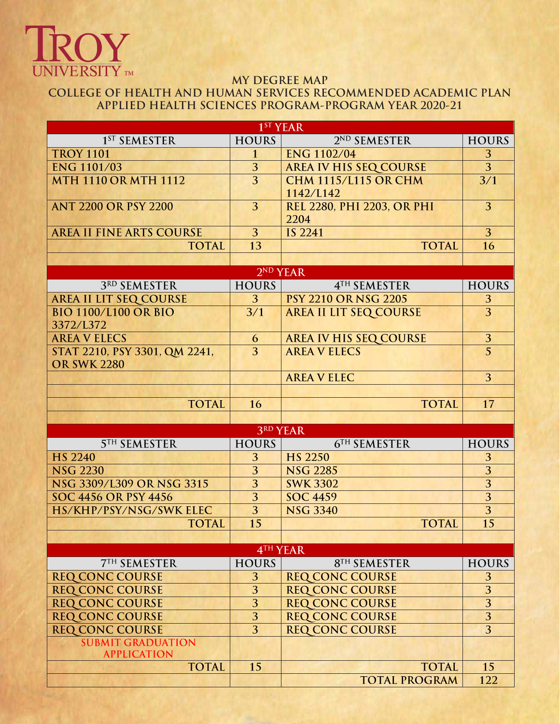# **IROY**

# **MY DEGREE MAP COLLEGE OF HEALTH AND HUMAN SERVICES RECOMMENDED ACADEMIC PLAN APPLIED HEALTH SCIENCES PROGRAM-PROGRAM YEAR 2020-21**

| 1 <sup>ST</sup> YEAR            |                         |                               |                         |
|---------------------------------|-------------------------|-------------------------------|-------------------------|
| 1 <sup>ST</sup> SEMESTER        | <b>HOURS</b>            | 2ND SEMESTER                  | <b>HOURS</b>            |
| <b>TROY 1101</b>                | $\mathbf{1}$            | <b>ENG 1102/04</b>            | 3                       |
| <b>ENG 1101/03</b>              | $\overline{3}$          | <b>AREA IV HIS SEQ COURSE</b> | $\overline{3}$          |
| <b>MTH 1110 OR MTH 1112</b>     | $\overline{3}$          | <b>CHM 1115/L115 OR CHM</b>   | 3/1                     |
|                                 |                         | 1142/L142                     |                         |
| <b>ANT 2200 OR PSY 2200</b>     | 3                       | REL 2280, PHI 2203, OR PHI    | 3                       |
|                                 |                         | 2204                          |                         |
| <b>AREA II FINE ARTS COURSE</b> | 3                       | <b>IS 2241</b>                | $\overline{3}$          |
| <b>TOTAL</b>                    | 13                      | <b>TOTAL</b>                  | 16                      |
|                                 |                         |                               |                         |
|                                 | 2 <sup>ND</sup> YEAR    |                               |                         |
| 3RD SEMESTER                    | <b>HOURS</b>            | 4TH SEMESTER                  | <b>HOURS</b>            |
| <b>AREA II LIT SEQ COURSE</b>   | 3                       | <b>PSY 2210 OR NSG 2205</b>   | 3                       |
| <b>BIO 1100/L100 OR BIO</b>     | 3/1                     | <b>AREA II LIT SEQ COURSE</b> | $\overline{3}$          |
| 3372/L372                       |                         |                               |                         |
| <b>AREA V ELECS</b>             | 6                       | <b>AREA IV HIS SEQ COURSE</b> | 3                       |
| STAT 2210, PSY 3301, QM 2241,   | 3                       | <b>AREA V ELECS</b>           | $\overline{5}$          |
| <b>OR SWK 2280</b>              |                         |                               |                         |
|                                 |                         | <b>AREA V ELEC</b>            | 3                       |
|                                 |                         |                               |                         |
| <b>TOTAL</b>                    | 16                      | <b>TOTAL</b>                  | 17                      |
|                                 |                         |                               |                         |
| <b>3RD YEAR</b>                 |                         |                               |                         |
| <b>5TH SEMESTER</b>             | <b>HOURS</b>            | 6TH SEMESTER                  | <b>HOURS</b>            |
| <b>HS 2240</b>                  | 3                       | <b>HS 2250</b>                | 3                       |
| <b>NSG 2230</b>                 | $\overline{3}$          | <b>NSG 2285</b>               | 3                       |
| NSG 3309/L309 OR NSG 3315       | $\overline{3}$          | <b>SWK 3302</b>               | $\overline{3}$          |
| <b>SOC 4456 OR PSY 4456</b>     | $\overline{3}$          | <b>SOC 4459</b>               | $\overline{3}$          |
| HS/KHP/PSY/NSG/SWK ELEC         | $\overline{3}$          | <b>NSG 3340</b>               | 3                       |
| <b>TOTAL</b>                    | 15                      | <b>TOTAL</b>                  | 15                      |
|                                 |                         |                               |                         |
| 4TH YEAR                        |                         |                               |                         |
| <b>7TH SEMESTER</b>             | <b>HOURS</b>            | 8TH SEMESTER                  | <b>HOURS</b>            |
| <b>REQ CONC COURSE</b>          | 3                       | <b>REQ CONC COURSE</b>        | 3                       |
| <b>REQ CONC COURSE</b>          | 3                       | <b>REQ CONC COURSE</b>        | $\overline{3}$          |
| <b>REQ CONC COURSE</b>          | $\overline{\mathbf{3}}$ | <b>REQ CONC COURSE</b>        | $\overline{\mathbf{3}}$ |
| <b>REQ CONC COURSE</b>          | $\overline{3}$          | <b>REQ CONC COURSE</b>        | $\overline{3}$          |
| <b>REQ CONC COURSE</b>          | 3                       | <b>REQ CONC COURSE</b>        | 3                       |
| <b>SUBMIT GRADUATION</b>        |                         |                               |                         |
| <b>APPLICATION</b>              |                         |                               |                         |
| <b>TOTAL</b>                    | 15                      | <b>TOTAL</b>                  | 15                      |
|                                 |                         | <b>TOTAL PROGRAM</b>          | 122                     |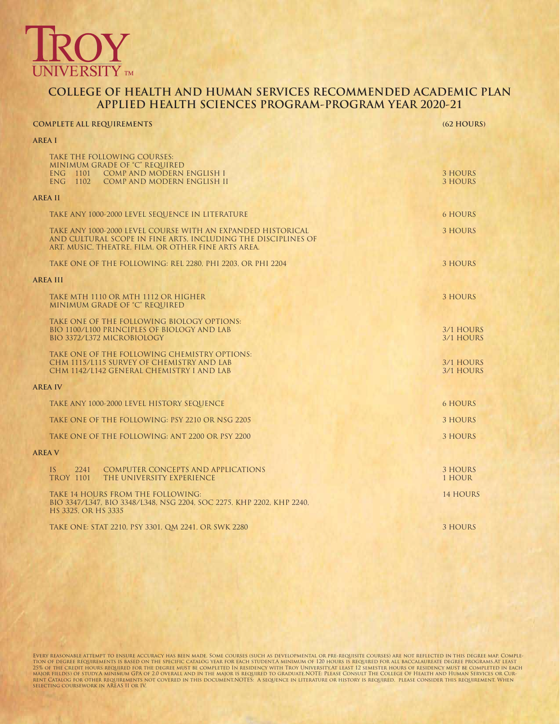

## **COLLEGE OF HEALTH AND HUMAN SERVICES RECOMMENDED ACADEMIC PLAN APPLIED HEALTH SCIENCES PROGRAM-PROGRAM YEAR 2020-21**

# **COMPLETE ALL REQUIREMENTS (62 HOURS) AREA I** TAKE THE FOLLOWING COURSES: MINIMUM GRADE OF "C" REQUIRED ENG 1101 COMP AND MODERN ENGLISH I 3 HOURS<br>ENG 1102 COMP AND MODERN ENGLISH II 3 HOURS 3 HOURS COMP AND MODERN ENGLISH II **AREA II** TAKE ANY 1000-2000 LEVEL SEQUENCE IN LITERATURE 6 HOURS TAKE ANY 1000-2000 LEVEL COURSE WITH AN EXPANDED HISTORICAL 3 HOURS AND CULTURAL SCOPE IN FINE ARTS, INCLUDING THE DISCIPLINES OF ART, MUSIC, THEATRE, FILM, OR OTHER FINE ARTS AREA. TAKE ONE OF THE FOLLOWING: REL 2280, PHI 2203, OR PHI 2204 3 HOURS 3 HOURS **AREA III** TAKE MTH 1110 OR MTH 1112 OR HIGHER 3 HOURS AND THE RESEARCH OF THE RESEARCH OF THE RESEARCH OF THE STATE OF THE STATE OF THE STATE OF THE STATE OF THE STATE OF THE STATE OF THE STATE OF THE STATE OF THE STATE OF THE STATE MINIMUM GRADE OF "C" REQUIRED TAKE ONE OF THE FOLLOWING BIOLOGY OPTIONS: BIO 1100/L100 PRINCIPLES OF BIOLOGY AND LAB 3/1 HOURS 3/1 HOURS BIO 3372/L372 MICROBIOLOGY 3/1 HOURS TAKE ONE OF THE FOLLOWING CHEMISTRY OPTIONS: CHM 1115/L115 SURVEY OF CHEMISTRY AND LAB 3/1 HOURS 3/1 HOURS CHM 1142/L142 GENERAL CHEMISTRY I AND LAB 3/1 HOURS 3/1 HOURS **AREA IV** TAKE ANY 1000-2000 LEVEL HISTORY SEQUENCE 6 HOURS TAKE ONE OF THE FOLLOWING: PSY 2210 OR NSG 2205 3 HOURS 3 HOURS TAKE ONE OF THE FOLLOWING: ANT 2200 OR PSY 2200 3 HOURS 3 HOURS 3 HOURS **AREA V** IS 2241 COMPUTER CONCEPTS AND APPLICATIONS TROY 1101 THE UNIVERSITY EXPERIENCE TROY 1101 THE UNIVERSITY EXPERIENCE THE UNIVERSITY EXPERIENCE **111** HOUR **121 HOUR** TAKE 14 HOURS FROM THE FOLLOWING: 14 HOURS 14 HOURS 14 HOURS BIO 3347/L347, BIO 3348/L348, NSG 2204, SOC 2275, KHP 2202, KHP 2240, HS 3325, OR HS 3335 TAKE ONE: STAT 2210, PSY 3301, QM 2241, OR SWK 2280 3 HOURS 3 HOURS

Every reasonable attempt to ensure accuracy has been made. Some courses (such as developmental or pre-requisite courses) are not reflected in this degree map. Comple-<br>tion of degree requirements is based on the specific ca 25% of the credit hours required for the degree must be completed in residency with Troy University.At least 12 semester hours of residency must be completed in each<br>major field(s) of study.A minimum GPA of 2.0 overall and